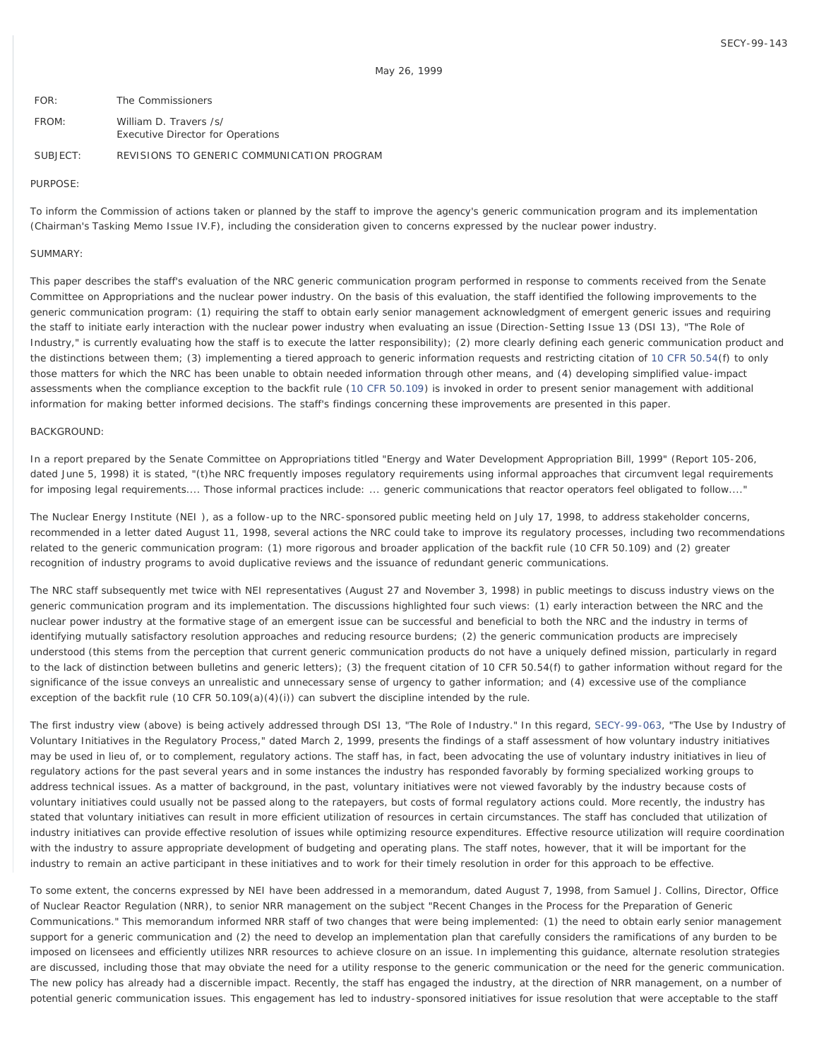| FOR:     | The Commissioners                                                  |
|----------|--------------------------------------------------------------------|
| FROM:    | William D. Travers /s/<br><b>Executive Director for Operations</b> |
| SUBJECT: | REVISIONS TO GENERIC COMMUNICATION PROGRAM                         |

#### PURPOSE:

To inform the Commission of actions taken or planned by the staff to improve the agency's generic communication program and its implementation (Chairman's Tasking Memo Issue IV.F), including the consideration given to concerns expressed by the nuclear power industry.

#### SUMMARY:

This paper describes the staff's evaluation of the NRC generic communication program performed in response to comments received from the Senate Committee on Appropriations and the nuclear power industry. On the basis of this evaluation, the staff identified the following improvements to the generic communication program: (1) requiring the staff to obtain early senior management acknowledgment of emergent generic issues and requiring the staff to initiate early interaction with the nuclear power industry when evaluating an issue (Direction-Setting Issue 13 (DSI 13), "The Role of Industry," is currently evaluating how the staff is to execute the latter responsibility); (2) more clearly defining each generic communication product and the distinctions between them; (3) implementing a tiered approach to generic information requests and restricting citation of [10 CFR 50.54](http://www.nrc.gov/reading-rm/doc-collections/cfr/part050/part050-0054.html)(f) to only those matters for which the NRC has been unable to obtain needed information through other means, and (4) developing simplified value-impact assessments when the compliance exception to the backfit rule [\(10 CFR 50.109](http://www.nrc.gov/reading-rm/doc-collections/cfr/part050/part050-0109.html)) is invoked in order to present senior management with additional information for making better informed decisions. The staff's findings concerning these improvements are presented in this paper.

#### BACKGROUND:

In a report prepared by the Senate Committee on Appropriations titled "Energy and Water Development Appropriation Bill, 1999" (Report 105-206, dated June 5, 1998) it is stated, "(t)he NRC frequently imposes regulatory requirements using informal approaches that circumvent legal requirements for imposing legal requirements.... Those informal practices include: ... generic communications that reactor operators feel obligated to follow...."

The Nuclear Energy Institute (NEI ), as a follow-up to the NRC-sponsored public meeting held on July 17, 1998, to address stakeholder concerns, recommended in a letter dated August 11, 1998, several actions the NRC could take to improve its regulatory processes, including two recommendations related to the generic communication program: (1) more rigorous and broader application of the backfit rule (10 CFR 50.109) and (2) greater recognition of industry programs to avoid duplicative reviews and the issuance of redundant generic communications.

The NRC staff subsequently met twice with NEI representatives (August 27 and November 3, 1998) in public meetings to discuss industry views on the generic communication program and its implementation. The discussions highlighted four such views: (1) early interaction between the NRC and the nuclear power industry at the formative stage of an emergent issue can be successful and beneficial to both the NRC and the industry in terms of identifying mutually satisfactory resolution approaches and reducing resource burdens; (2) the generic communication products are imprecisely understood (this stems from the perception that current generic communication products do not have a uniquely defined mission, particularly in regard to the lack of distinction between bulletins and generic letters); (3) the frequent citation of 10 CFR 50.54(f) to gather information without regard for the significance of the issue conveys an unrealistic and unnecessary sense of urgency to gather information; and (4) excessive use of the compliance exception of the backfit rule (10 CFR 50.109(a)(4)(i)) can subvert the discipline intended by the rule.

The first industry view (above) is being actively addressed through DSI 13, "The Role of Industry." In this regard, [SECY-99-063,](http://www.nrc.gov/reading-rm/doc-collections/commission/secys/1999/secy1999-063/1999-063scy.html) "The Use by Industry of Voluntary Initiatives in the Regulatory Process," dated March 2, 1999, presents the findings of a staff assessment of how voluntary industry initiatives may be used in lieu of, or to complement, regulatory actions. The staff has, in fact, been advocating the use of voluntary industry initiatives in lieu of regulatory actions for the past several years and in some instances the industry has responded favorably by forming specialized working groups to address technical issues. As a matter of background, in the past, voluntary initiatives were not viewed favorably by the industry because costs of voluntary initiatives could usually not be passed along to the ratepayers, but costs of formal regulatory actions could. More recently, the industry has stated that voluntary initiatives can result in more efficient utilization of resources in certain circumstances. The staff has concluded that utilization of industry initiatives can provide effective resolution of issues while optimizing resource expenditures. Effective resource utilization will require coordination with the industry to assure appropriate development of budgeting and operating plans. The staff notes, however, that it will be important for the industry to remain an active participant in these initiatives and to work for their timely resolution in order for this approach to be effective.

To some extent, the concerns expressed by NEI have been addressed in a memorandum, dated August 7, 1998, from Samuel J. Collins, Director, Office of Nuclear Reactor Regulation (NRR), to senior NRR management on the subject "Recent Changes in the Process for the Preparation of Generic Communications." This memorandum informed NRR staff of two changes that were being implemented: (1) the need to obtain early senior management support for a generic communication and (2) the need to develop an implementation plan that carefully considers the ramifications of any burden to be imposed on licensees and efficiently utilizes NRR resources to achieve closure on an issue. In implementing this guidance, alternate resolution strategies are discussed, including those that may obviate the need for a utility response to the generic communication or the need for the generic communication. The new policy has already had a discernible impact. Recently, the staff has engaged the industry, at the direction of NRR management, on a number of potential generic communication issues. This engagement has led to industry-sponsored initiatives for issue resolution that were acceptable to the staff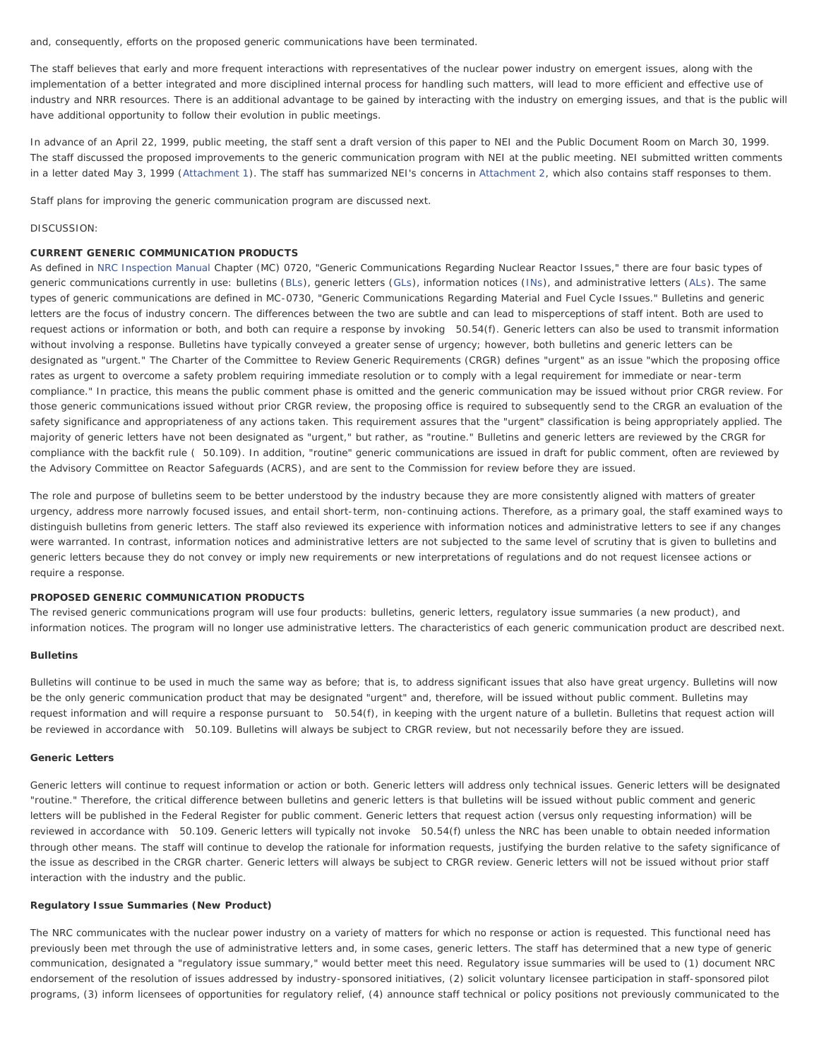and, consequently, efforts on the proposed generic communications have been terminated.

The staff believes that early and more frequent interactions with representatives of the nuclear power industry on emergent issues, along with the implementation of a better integrated and more disciplined internal process for handling such matters, will lead to more efficient and effective use of industry and NRR resources. There is an additional advantage to be gained by interacting with the industry on emerging issues, and that is the public will have additional opportunity to follow their evolution in public meetings.

In advance of an April 22, 1999, public meeting, the staff sent a draft version of this paper to NEI and the Public Document Room on March 30, 1999. The staff discussed the proposed improvements to the generic communication program with NEI at the public meeting. NEI submitted written comments in a letter dated May 3, 1999 ([Attachment 1\)](http://www.nrc.gov/reading-rm/doc-collections/commission/secys/1999/attachments.html). The staff has summarized NEI's concerns in [Attachment 2,](#page-4-0) which also contains staff responses to them.

Staff plans for improving the generic communication program are discussed next.

#### DISCUSSION:

# CURRENT GENERIC COMMUNICATION PRODUCTS

As defined in [NRC Inspection Manual](http://www.nrc.gov/reading-rm/doc-collections/insp-manual/) Chapter (MC) 0720, "Generic Communications Regarding Nuclear Reactor Issues," there are four basic types of generic communications currently in use: bulletins [\(BLs](http://www.nrc.gov/reading-rm/doc-collections/gen-comm/bulletins/)), generic letters [\(GLs](http://www.nrc.gov/reading-rm/doc-collections/gen-comm/gen-letters/)), information notices [\(INs](http://www.nrc.gov/reading-rm/doc-collections/gen-comm/info-notices/)), and administrative letters [\(ALs](http://www.nrc.gov/reading-rm/doc-collections/gen-comm/admin-letters/)). The same types of generic communications are defined in MC-0730, "Generic Communications Regarding Material and Fuel Cycle Issues." Bulletins and generic letters are the focus of industry concern. The differences between the two are subtle and can lead to misperceptions of staff intent. Both are used to request actions or information or both, and both can require a response by invoking 50.54(f). Generic letters can also be used to transmit information without involving a response. Bulletins have typically conveyed a greater sense of urgency; however, both bulletins and generic letters can be designated as "urgent." The Charter of the Committee to Review Generic Requirements (CRGR) defines "urgent" as an issue "which the proposing office rates as urgent to overcome a safety problem requiring immediate resolution or to comply with a legal requirement for immediate or near-term compliance." In practice, this means the public comment phase is omitted and the generic communication may be issued without prior CRGR review. For those generic communications issued without prior CRGR review, the proposing office is required to subsequently send to the CRGR an evaluation of the safety significance and appropriateness of any actions taken. This requirement assures that the "urgent" classification is being appropriately applied. The majority of generic letters have not been designated as "urgent," but rather, as "routine." Bulletins and generic letters are reviewed by the CRGR for compliance with the backfit rule ( 50.109). In addition, "routine" generic communications are issued in draft for public comment, often are reviewed by the Advisory Committee on Reactor Safeguards (ACRS), and are sent to the Commission for review before they are issued.

The role and purpose of bulletins seem to be better understood by the industry because they are more consistently aligned with matters of greater urgency, address more narrowly focused issues, and entail short-term, non-continuing actions. Therefore, as a primary goal, the staff examined ways to distinguish bulletins from generic letters. The staff also reviewed its experience with information notices and administrative letters to see if any changes were warranted. In contrast, information notices and administrative letters are not subjected to the same level of scrutiny that is given to bulletins and generic letters because they do not convey or imply new requirements or new interpretations of regulations and do not request licensee actions or require a response.

# PROPOSED GENERIC COMMUNICATION PRODUCTS

The revised generic communications program will use four products: bulletins, generic letters, regulatory issue summaries (a new product), and information notices. The program will no longer use administrative letters. The characteristics of each generic communication product are described next.

#### **Bulletins**

Bulletins will continue to be used in much the same way as before; that is, to address significant issues that also have great urgency. Bulletins will now be the only generic communication product that may be designated "urgent" and, therefore, will be issued without public comment. Bulletins may request information and will require a response pursuant to 50.54(f), in keeping with the urgent nature of a bulletin. Bulletins that request action will be reviewed in accordance with 50.109. Bulletins will always be subject to CRGR review, but not necessarily before they are issued.

#### **Generic Letters**

Generic letters will continue to request information or action or both. Generic letters will address only technical issues. Generic letters will be designated "routine." Therefore, the critical difference between bulletins and generic letters is that bulletins will be issued without public comment and generic letters will be published in the *Federal Register* for public comment. Generic letters that request action (versus only requesting information) will be reviewed in accordance with 50.109. Generic letters will typically not invoke 50.54(f) unless the NRC has been unable to obtain needed information through other means. The staff will continue to develop the rationale for information requests, justifying the burden relative to the safety significance of the issue as described in the CRGR charter. Generic letters will always be subject to CRGR review. Generic letters will not be issued without prior staff interaction with the industry and the public.

#### **Regulatory Issue Summaries (New Product)**

The NRC communicates with the nuclear power industry on a variety of matters for which no response or action is requested. This functional need has previously been met through the use of administrative letters and, in some cases, generic letters. The staff has determined that a new type of generic communication, designated a "regulatory issue summary," would better meet this need. Regulatory issue summaries will be used to (1) document NRC endorsement of the resolution of issues addressed by industry-sponsored initiatives, (2) solicit voluntary licensee participation in staff-sponsored pilot programs, (3) inform licensees of opportunities for regulatory relief, (4) announce staff technical or policy positions not previously communicated to the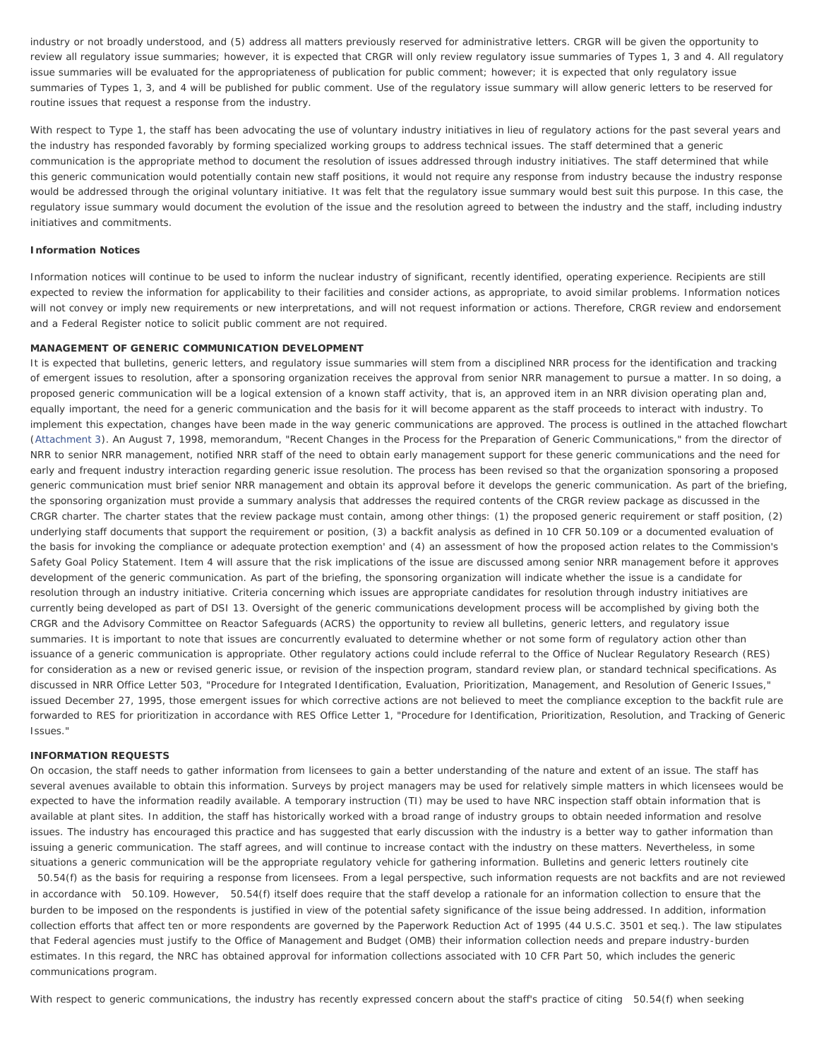industry or not broadly understood, and (5) address all matters previously reserved for administrative letters. CRGR will be given the opportunity to review all regulatory issue summaries; however, it is expected that CRGR will only review regulatory issue summaries of Types 1, 3 and 4. All regulatory issue summaries will be evaluated for the appropriateness of publication for public comment; however; it is expected that only regulatory issue summaries of Types 1, 3, and 4 will be published for public comment. Use of the regulatory issue summary will allow generic letters to be reserved for routine issues that request a response from the industry.

With respect to Type 1, the staff has been advocating the use of voluntary industry initiatives in lieu of regulatory actions for the past several years and the industry has responded favorably by forming specialized working groups to address technical issues. The staff determined that a generic communication is the appropriate method to document the resolution of issues addressed through industry initiatives. The staff determined that while this generic communication would potentially contain new staff positions, it would not require any response from industry because the industry response would be addressed through the original voluntary initiative. It was felt that the regulatory issue summary would best suit this purpose. In this case, the regulatory issue summary would document the evolution of the issue and the resolution agreed to between the industry and the staff, including industry initiatives and commitments.

# **Information Notices**

Information notices will continue to be used to inform the nuclear industry of significant, recently identified, operating experience. Recipients are still expected to review the information for applicability to their facilities and consider actions, as appropriate, to avoid similar problems. Information notices will not convey or imply new requirements or new interpretations, and will not request information or actions. Therefore, CRGR review and endorsement and a *Federal Register* notice to solicit public comment are not required.

### MANAGEMENT OF GENERIC COMMUNICATION DEVELOPMENT

It is expected that bulletins, generic letters, and regulatory issue summaries will stem from a disciplined NRR process for the identification and tracking of emergent issues to resolution, after a sponsoring organization receives the approval from senior NRR management to pursue a matter. In so doing, a proposed generic communication will be a logical extension of a known staff activity, that is, an approved item in an NRR division operating plan and, equally important, the need for a generic communication and the basis for it will become apparent as the staff proceeds to interact with industry. To implement this expectation, changes have been made in the way generic communications are approved. The process is outlined in the attached flowchart ([Attachment 3\)](#page-5-0). An August 7, 1998, memorandum, "Recent Changes in the Process for the Preparation of Generic Communications," from the director of NRR to senior NRR management, notified NRR staff of the need to obtain early management support for these generic communications and the need for early and frequent industry interaction regarding generic issue resolution. The process has been revised so that the organization sponsoring a proposed generic communication must brief senior NRR management and obtain its approval before it develops the generic communication. As part of the briefing, the sponsoring organization must provide a summary analysis that addresses the required contents of the CRGR review package as discussed in the CRGR charter. The charter states that the review package must contain, among other things: (1) the proposed generic requirement or staff position, (2) underlying staff documents that support the requirement or position, (3) a backfit analysis as defined in 10 CFR 50.109 or a documented evaluation of the basis for invoking the compliance or adequate protection exemption' and (4) an assessment of how the proposed action relates to the Commission's Safety Goal Policy Statement. Item 4 will assure that the risk implications of the issue are discussed among senior NRR management before it approves development of the generic communication. As part of the briefing, the sponsoring organization will indicate whether the issue is a candidate for resolution through an industry initiative. Criteria concerning which issues are appropriate candidates for resolution through industry initiatives are currently being developed as part of DSI 13. Oversight of the generic communications development process will be accomplished by giving both the CRGR and the Advisory Committee on Reactor Safeguards (ACRS) the opportunity to review all bulletins, generic letters, and regulatory issue summaries. It is important to note that issues are concurrently evaluated to determine whether or not some form of regulatory action other than issuance of a generic communication is appropriate. Other regulatory actions could include referral to the Office of Nuclear Regulatory Research (RES) for consideration as a new or revised generic issue, or revision of the inspection program, standard review plan, or standard technical specifications. As discussed in NRR Office Letter 503, "Procedure for Integrated Identification, Evaluation, Prioritization, Management, and Resolution of Generic Issues," issued December 27, 1995, those emergent issues for which corrective actions are not believed to meet the compliance exception to the backfit rule are forwarded to RES for prioritization in accordance with RES Office Letter 1, "Procedure for Identification, Prioritization, Resolution, and Tracking of Generic Issues."

#### INFORMATION REQUESTS

On occasion, the staff needs to gather information from licensees to gain a better understanding of the nature and extent of an issue. The staff has several avenues available to obtain this information. Surveys by project managers may be used for relatively simple matters in which licensees would be expected to have the information readily available. A temporary instruction (TI) may be used to have NRC inspection staff obtain information that is available at plant sites. In addition, the staff has historically worked with a broad range of industry groups to obtain needed information and resolve issues. The industry has encouraged this practice and has suggested that early discussion with the industry is a better way to gather information than issuing a generic communication. The staff agrees, and will continue to increase contact with the industry on these matters. Nevertheless, in some situations a generic communication will be the appropriate regulatory vehicle for gathering information. Bulletins and generic letters routinely cite

50.54(f) as the basis for requiring a response from licensees. From a legal perspective, such information requests are not backfits and are not reviewed in accordance with 50.109. However, 50.54(f) itself does require that the staff develop a rationale for an information collection to ensure that the burden to be imposed on the respondents is justified in view of the potential safety significance of the issue being addressed. In addition, information collection efforts that affect ten or more respondents are governed by the Paperwork Reduction Act of 1995 (44 U.S.C. 3501 et seq.). The law stipulates that Federal agencies must justify to the Office of Management and Budget (OMB) their information collection needs and prepare industry-burden estimates. In this regard, the NRC has obtained approval for information collections associated with 10 CFR Part 50, which includes the generic communications program.

With respect to generic communications, the industry has recently expressed concern about the staff's practice of citing 50.54(f) when seeking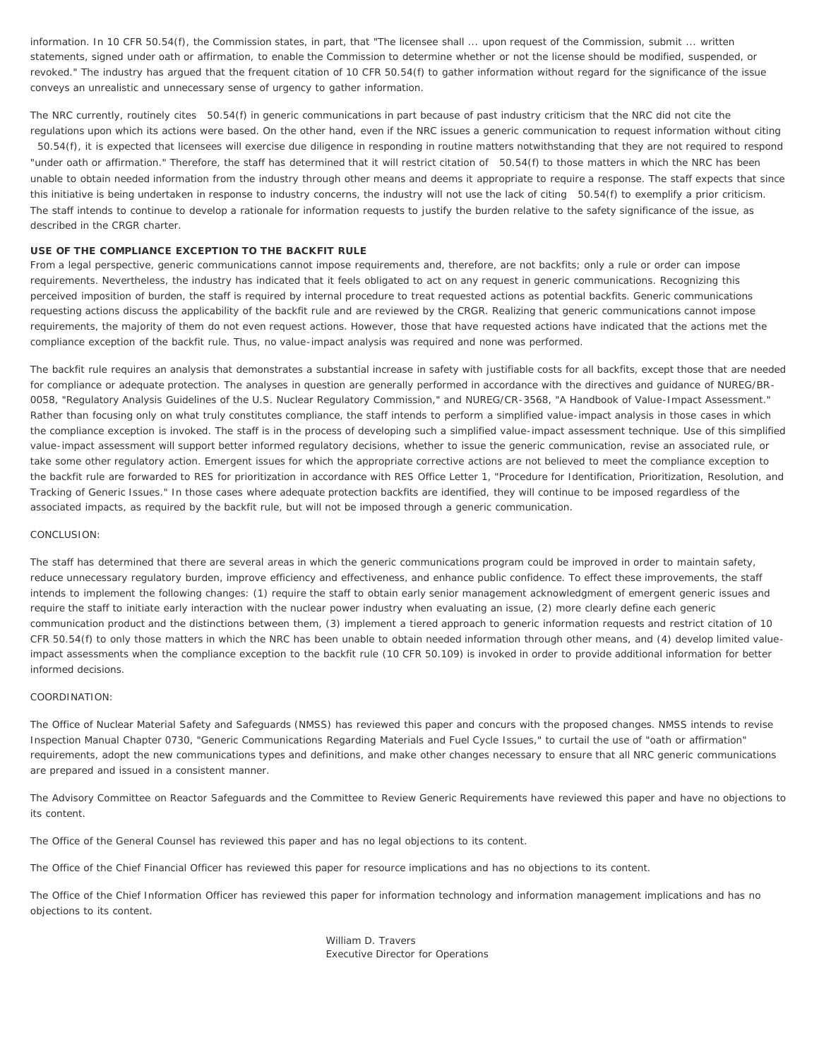information. In 10 CFR 50.54(f), the Commission states, in part, that "The licensee shall ... upon request of the Commission, submit ... written statements, signed under oath or affirmation, to enable the Commission to determine whether or not the license should be modified, suspended, or revoked." The industry has argued that the frequent citation of 10 CFR 50.54(f) to gather information without regard for the significance of the issue conveys an unrealistic and unnecessary sense of urgency to gather information.

The NRC currently, routinely cites 50.54(f) in generic communications in part because of past industry criticism that the NRC did not cite the regulations upon which its actions were based. On the other hand, even if the NRC issues a generic communication to request information without citing

50.54(f), it is expected that licensees will exercise due diligence in responding in routine matters notwithstanding that they are not required to respond "under oath or affirmation." Therefore, the staff has determined that it will restrict citation of 50.54(f) to those matters in which the NRC has been unable to obtain needed information from the industry through other means and deems it appropriate to require a response. The staff expects that since this initiative is being undertaken in response to industry concerns, the industry will not use the lack of citing 50.54(f) to exemplify a prior criticism. The staff intends to continue to develop a rationale for information requests to justify the burden relative to the safety significance of the issue, as described in the CRGR charter.

# USE OF THE COMPLIANCE EXCEPTION TO THE BACKFIT RULE

From a legal perspective, generic communications cannot impose requirements and, therefore, are not backfits; only a rule or order can impose requirements. Nevertheless, the industry has indicated that it feels obligated to act on any request in generic communications. Recognizing this perceived imposition of burden, the staff is required by internal procedure to treat requested actions as potential backfits. Generic communications requesting actions discuss the applicability of the backfit rule and are reviewed by the CRGR. Realizing that generic communications cannot impose requirements, the majority of them do not even request actions. However, those that have requested actions have indicated that the actions met the compliance exception of the backfit rule. Thus, no value-impact analysis was required and none was performed.

The backfit rule requires an analysis that demonstrates a substantial increase in safety with justifiable costs for all backfits, except those that are needed for compliance or adequate protection. The analyses in question are generally performed in accordance with the directives and guidance of NUREG/BR-0058, "Regulatory Analysis Guidelines of the U.S. Nuclear Regulatory Commission," and NUREG/CR-3568, "A Handbook of Value-Impact Assessment." Rather than focusing only on what truly constitutes compliance, the staff intends to perform a simplified value-impact analysis in those cases in which the compliance exception is invoked. The staff is in the process of developing such a simplified value-impact assessment technique. Use of this simplified value-impact assessment will support better informed regulatory decisions, whether to issue the generic communication, revise an associated rule, or take some other regulatory action. Emergent issues for which the appropriate corrective actions are not believed to meet the compliance exception to the backfit rule are forwarded to RES for prioritization in accordance with RES Office Letter 1, "Procedure for Identification, Prioritization, Resolution, and Tracking of Generic Issues." In those cases where adequate protection backfits are identified, they will continue to be imposed regardless of the associated impacts, as required by the backfit rule, but will not be imposed through a generic communication.

## CONCLUSION<sup>.</sup>

The staff has determined that there are several areas in which the generic communications program could be improved in order to maintain safety, reduce unnecessary regulatory burden, improve efficiency and effectiveness, and enhance public confidence. To effect these improvements, the staff intends to implement the following changes: (1) require the staff to obtain early senior management acknowledgment of emergent generic issues and require the staff to initiate early interaction with the nuclear power industry when evaluating an issue, (2) more clearly define each generic communication product and the distinctions between them, (3) implement a tiered approach to generic information requests and restrict citation of 10 CFR 50.54(f) to only those matters in which the NRC has been unable to obtain needed information through other means, and (4) develop limited valueimpact assessments when the compliance exception to the backfit rule (10 CFR 50.109) is invoked in order to provide additional information for better informed decisions.

## COORDINATION:

The Office of Nuclear Material Safety and Safeguards (NMSS) has reviewed this paper and concurs with the proposed changes. NMSS intends to revise Inspection Manual Chapter 0730, "Generic Communications Regarding Materials and Fuel Cycle Issues," to curtail the use of "oath or affirmation" requirements, adopt the new communications types and definitions, and make other changes necessary to ensure that all NRC generic communications are prepared and issued in a consistent manner.

The Advisory Committee on Reactor Safeguards and the Committee to Review Generic Requirements have reviewed this paper and have no objections to its content.

The Office of the General Counsel has reviewed this paper and has no legal objections to its content.

The Office of the Chief Financial Officer has reviewed this paper for resource implications and has no objections to its content.

The Office of the Chief Information Officer has reviewed this paper for information technology and information management implications and has no objections to its content.

> William D. Travers Executive Director for Operations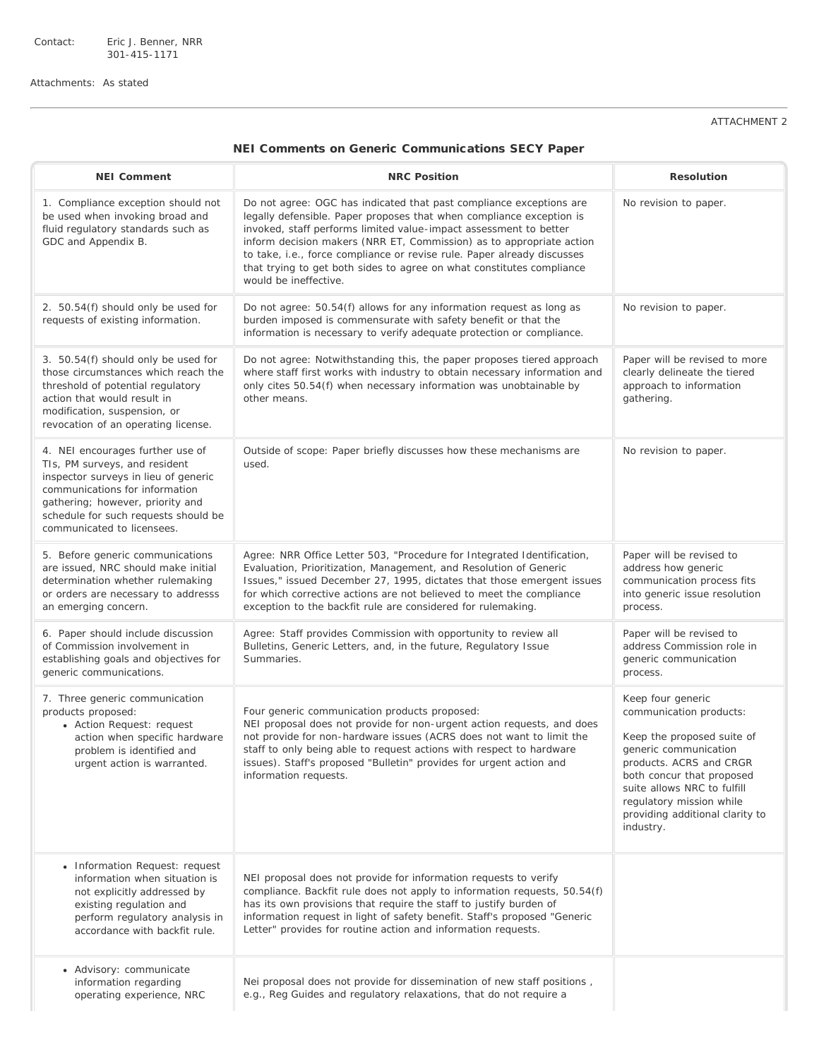Contact: Eric J. Benner, NRR 301-415-1171

<span id="page-4-0"></span>Attachments: As stated

# ATTACHMENT 2

# NEI Comments on Generic Communications SECY Paper

| <b>NEI Comment</b>                                                                                                                                                                                                                                    | <b>NRC Position</b>                                                                                                                                                                                                                                                                                                                                                                                                                                                   | <b>Resolution</b>                                                                                                                                                                                                                                                      |
|-------------------------------------------------------------------------------------------------------------------------------------------------------------------------------------------------------------------------------------------------------|-----------------------------------------------------------------------------------------------------------------------------------------------------------------------------------------------------------------------------------------------------------------------------------------------------------------------------------------------------------------------------------------------------------------------------------------------------------------------|------------------------------------------------------------------------------------------------------------------------------------------------------------------------------------------------------------------------------------------------------------------------|
| 1. Compliance exception should not<br>be used when invoking broad and<br>fluid regulatory standards such as<br>GDC and Appendix B.                                                                                                                    | Do not agree: OGC has indicated that past compliance exceptions are<br>legally defensible. Paper proposes that when compliance exception is<br>invoked, staff performs limited value-impact assessment to better<br>inform decision makers (NRR ET, Commission) as to appropriate action<br>to take, i.e., force compliance or revise rule. Paper already discusses<br>that trying to get both sides to agree on what constitutes compliance<br>would be ineffective. | No revision to paper.                                                                                                                                                                                                                                                  |
| 2. 50.54(f) should only be used for<br>requests of existing information.                                                                                                                                                                              | Do not agree: 50.54(f) allows for any information request as long as<br>burden imposed is commensurate with safety benefit or that the<br>information is necessary to verify adequate protection or compliance.                                                                                                                                                                                                                                                       | No revision to paper.                                                                                                                                                                                                                                                  |
| 3. 50.54(f) should only be used for<br>those circumstances which reach the<br>threshold of potential regulatory<br>action that would result in<br>modification, suspension, or<br>revocation of an operating license.                                 | Do not agree: Notwithstanding this, the paper proposes tiered approach<br>where staff first works with industry to obtain necessary information and<br>only cites 50.54(f) when necessary information was unobtainable by<br>other means.                                                                                                                                                                                                                             | Paper will be revised to more<br>clearly delineate the tiered<br>approach to information<br>gathering.                                                                                                                                                                 |
| 4. NEI encourages further use of<br>TIs, PM surveys, and resident<br>inspector surveys in lieu of generic<br>communications for information<br>gathering; however, priority and<br>schedule for such requests should be<br>communicated to licensees. | Outside of scope: Paper briefly discusses how these mechanisms are<br>used.                                                                                                                                                                                                                                                                                                                                                                                           | No revision to paper.                                                                                                                                                                                                                                                  |
| 5. Before generic communications<br>are issued, NRC should make initial<br>determination whether rulemaking<br>or orders are necessary to addresss<br>an emerging concern.                                                                            | Agree: NRR Office Letter 503, "Procedure for Integrated Identification,<br>Evaluation, Prioritization, Management, and Resolution of Generic<br>Issues," issued December 27, 1995, dictates that those emergent issues<br>for which corrective actions are not believed to meet the compliance<br>exception to the backfit rule are considered for rulemaking.                                                                                                        | Paper will be revised to<br>address how generic<br>communication process fits<br>into generic issue resolution<br>process.                                                                                                                                             |
| 6. Paper should include discussion<br>of Commission involvement in<br>establishing goals and objectives for<br>generic communications.                                                                                                                | Agree: Staff provides Commission with opportunity to review all<br>Bulletins, Generic Letters, and, in the future, Regulatory Issue<br>Summaries.                                                                                                                                                                                                                                                                                                                     | Paper will be revised to<br>address Commission role in<br>generic communication<br>process.                                                                                                                                                                            |
| 7. Three generic communication<br>products proposed:<br>• Action Request: request<br>action when specific hardware<br>problem is identified and<br>urgent action is warranted.                                                                        | Four generic communication products proposed:<br>NEI proposal does not provide for non-urgent action requests, and does<br>not provide for non-hardware issues (ACRS does not want to limit the<br>staff to only being able to request actions with respect to hardware<br>issues). Staff's proposed "Bulletin" provides for urgent action and<br>information requests.                                                                                               | Keep four generic<br>communication products:<br>Keep the proposed suite of<br>generic communication<br>products. ACRS and CRGR<br>both concur that proposed<br>suite allows NRC to fulfill<br>regulatory mission while<br>providing additional clarity to<br>industry. |
| • Information Request: request<br>information when situation is<br>not explicitly addressed by<br>existing regulation and<br>perform regulatory analysis in<br>accordance with backfit rule.                                                          | NEI proposal does not provide for information requests to verify<br>compliance. Backfit rule does not apply to information requests, 50.54(f)<br>has its own provisions that require the staff to justify burden of<br>information request in light of safety benefit. Staff's proposed "Generic<br>Letter" provides for routine action and information requests.                                                                                                     |                                                                                                                                                                                                                                                                        |
| • Advisory: communicate<br>information regarding<br>operating experience, NRC                                                                                                                                                                         | Nei proposal does not provide for dissemination of new staff positions,<br>e.g., Reg Guides and regulatory relaxations, that do not require a                                                                                                                                                                                                                                                                                                                         |                                                                                                                                                                                                                                                                        |